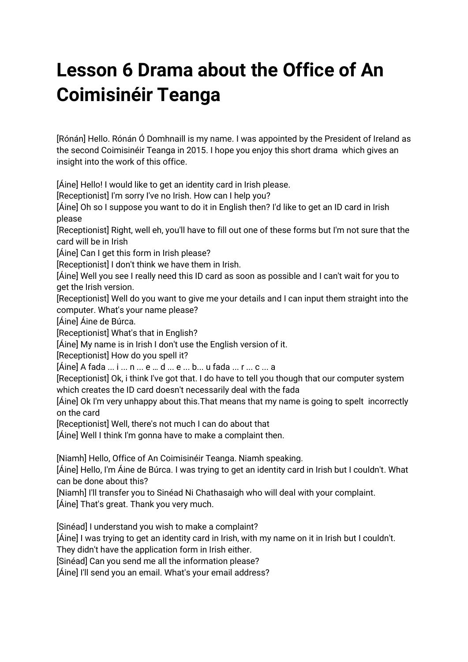## **Lesson 6 Drama about the Office of An Coimisinéir Teanga**

[Rónán] Hello. Rónán Ó Domhnaill is my name. I was appointed by the President of Ireland as the second Coimisinéir Teanga in 2015. I hope you enjoy this short drama which gives an insight into the work of this office.

[Áine] Hello! I would like to get an identity card in Irish please.

[Receptionist] I'm sorry I've no Irish. How can I help you?

[Áine] Oh so I suppose you want to do it in English then? I'd like to get an ID card in Irish please

[Receptionist] Right, well eh, you'll have to fill out one of these forms but I'm not sure that the card will be in Irish

[Áine] Can I get this form in Irish please?

[Receptionist] I don't think we have them in Irish.

[Áine] Well you see I really need this ID card as soon as possible and I can't wait for you to get the Irish version.

[Receptionist] Well do you want to give me your details and I can input them straight into the computer. What's your name please?

[Áine] Áine de Búrca.

[Receptionist] What's that in English?

[Áine] My name is in Irish I don't use the English version of it.

[Receptionist] How do you spell it?

[Áine] A fada ... i ... n ... e … d ... e ... b... u fada ... r ... c ... a

[Receptionist] Ok, i think I've got that. I do have to tell you though that our computer system which creates the ID card doesn't necessarily deal with the fada

[Áine] Ok I'm very unhappy about this.That means that my name is going to spelt incorrectly on the card

[Receptionist] Well, there's not much I can do about that

[Áine] Well I think I'm gonna have to make a complaint then.

[Niamh] Hello, Office of An Coimisinéir Teanga. Niamh speaking.

[Áine] Hello, I'm Áine de Búrca. I was trying to get an identity card in Irish but I couldn't. What can be done about this?

[Niamh] I'll transfer you to Sinéad Ni Chathasaigh who will deal with your complaint. [Áine] That's great. Thank you very much.

[Sinéad] I understand you wish to make a complaint?

[Áine] I was trying to get an identity card in Irish, with my name on it in Irish but I couldn't.

They didn't have the application form in Irish either.

[Sinéad] Can you send me all the information please?

[Áine] I'll send you an email. What's your email address?